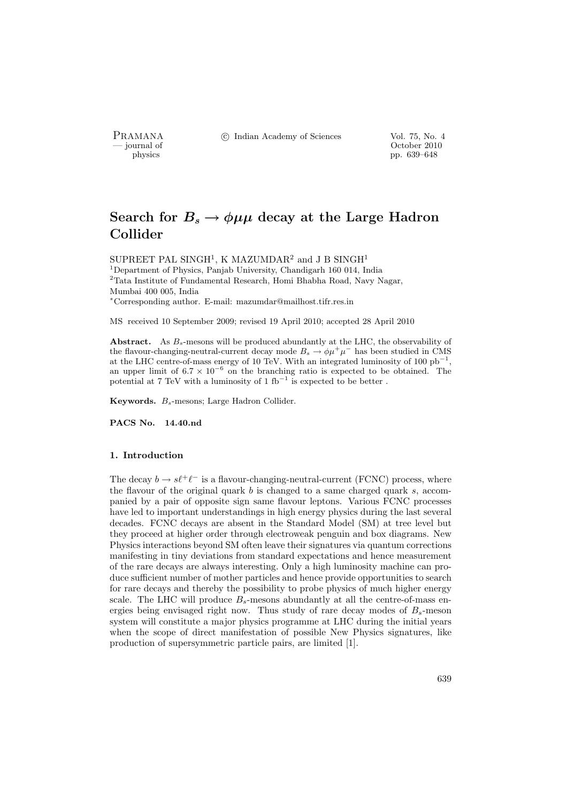PRAMANA <sup>C</sup> Indian Academy of Sciences Vol. 75, No. 4<br>
— journal of Cortober 2010

position of the contract of the contract of the contract of the contract of the contract of the contract of the contract of the contract of the contract of the contract of the contract of the contract of the contract of th pp. 639–648

# Search for  $B_s \to \phi \mu \mu$  decay at the Large Hadron Collider

SUPREET PAL SINGH<sup>1</sup>, K MAZUMDAR<sup>2</sup> and J B SINGH<sup>1</sup> <sup>1</sup>Department of Physics, Panjab University, Chandigarh 160 014, India  $\rm{^2Tata}$  Institute of Fundamental Research, Homi Bhabha Road, Navy Nagar, Mumbai 400 005, India <sup>∗</sup>Corresponding author. E-mail: mazumdar@mailhost.tifr.res.in

MS received 10 September 2009; revised 19 April 2010; accepted 28 April 2010

Abstract. As  $B_s$ -mesons will be produced abundantly at the LHC, the observability of the flavour-changing-neutral-current decay mode  $B_s \to \phi \mu^+ \mu^-$  has been studied in CMS at the LHC centre-of-mass energy of 10 TeV. With an integrated luminosity of 100  $pb^{-1}$ , an upper limit of  $6.7 \times 10^{-6}$  on the branching ratio is expected to be obtained. The potential at 7 TeV with a luminosity of  $1 \text{ fb}^{-1}$  is expected to be better.

Keywords.  $B_s$ -mesons; Large Hadron Collider.

PACS No. 14.40.nd

# 1. Introduction

The decay  $b \to s\ell^+\ell^-$  is a flavour-changing-neutral-current (FCNC) process, where the flavour of the original quark  $b$  is changed to a same charged quark  $s$ , accompanied by a pair of opposite sign same flavour leptons. Various FCNC processes have led to important understandings in high energy physics during the last several decades. FCNC decays are absent in the Standard Model (SM) at tree level but they proceed at higher order through electroweak penguin and box diagrams. New Physics interactions beyond SM often leave their signatures via quantum corrections manifesting in tiny deviations from standard expectations and hence measurement of the rare decays are always interesting. Only a high luminosity machine can produce sufficient number of mother particles and hence provide opportunities to search for rare decays and thereby the possibility to probe physics of much higher energy scale. The LHC will produce  $B_s$ -mesons abundantly at all the centre-of-mass energies being envisaged right now. Thus study of rare decay modes of  $B_s$ -meson system will constitute a major physics programme at LHC during the initial years when the scope of direct manifestation of possible New Physics signatures, like production of supersymmetric particle pairs, are limited [1].

639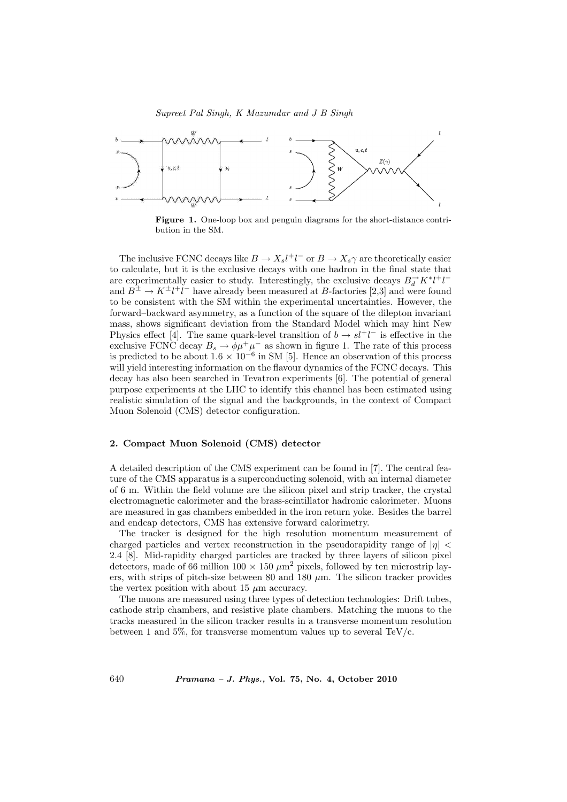

Figure 1. One-loop box and penguin diagrams for the short-distance contribution in the SM.

The inclusive FCNC decays like  $B \to X_s l^+ l^-$  or  $B \to X_s \gamma$  are theoretically easier to calculate, but it is the exclusive decays with one hadron in the final state that are experimentally easier to study. Interestingly, the exclusive decays  $B_d^{\rightarrow} K^* l^+ l^$ and  $B^{\pm} \to K^{\pm} l^{\mp} l^{\mp}$  have already been measured at B-factories [2,3] and were found to be consistent with the SM within the experimental uncertainties. However, the forward–backward asymmetry, as a function of the square of the dilepton invariant mass, shows significant deviation from the Standard Model which may hint New Physics effect [4]. The same quark-level transition of  $b \to s l^+ l^-$  is effective in the exclusive FCNC decay  $B_s \to \phi \mu^+ \mu^-$  as shown in figure 1. The rate of this process is predicted to be about  $1.6 \times 10^{-6}$  in SM [5]. Hence an observation of this process will yield interesting information on the flavour dynamics of the FCNC decays. This decay has also been searched in Tevatron experiments [6]. The potential of general purpose experiments at the LHC to identify this channel has been estimated using realistic simulation of the signal and the backgrounds, in the context of Compact Muon Solenoid (CMS) detector configuration.

## 2. Compact Muon Solenoid (CMS) detector

A detailed description of the CMS experiment can be found in [7]. The central feature of the CMS apparatus is a superconducting solenoid, with an internal diameter of 6 m. Within the field volume are the silicon pixel and strip tracker, the crystal electromagnetic calorimeter and the brass-scintillator hadronic calorimeter. Muons are measured in gas chambers embedded in the iron return yoke. Besides the barrel and endcap detectors, CMS has extensive forward calorimetry.

The tracker is designed for the high resolution momentum measurement of charged particles and vertex reconstruction in the pseudorapidity range of  $|\eta|$  < 2.4 [8]. Mid-rapidity charged particles are tracked by three layers of silicon pixel detectors, made of 66 million  $100 \times 150 \ \mu \text{m}^2$  pixels, followed by ten microstrip layers, with strips of pitch-size between 80 and 180  $\mu$ m. The silicon tracker provides the vertex position with about 15  $\mu$ m accuracy.

The muons are measured using three types of detection technologies: Drift tubes, cathode strip chambers, and resistive plate chambers. Matching the muons to the tracks measured in the silicon tracker results in a transverse momentum resolution between 1 and 5%, for transverse momentum values up to several TeV/c.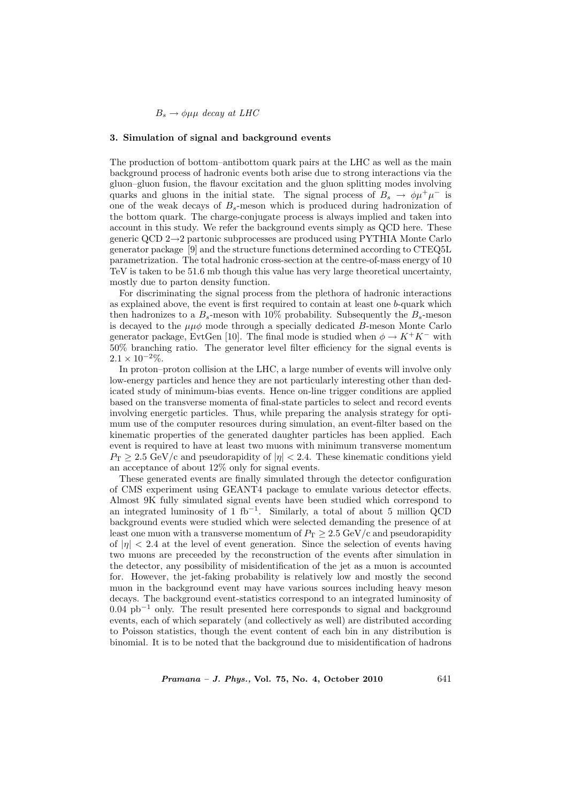$B_s \to \phi \mu \mu$  decay at LHC

#### 3. Simulation of signal and background events

The production of bottom–antibottom quark pairs at the LHC as well as the main background process of hadronic events both arise due to strong interactions via the gluon–gluon fusion, the flavour excitation and the gluon splitting modes involving quarks and gluons in the initial state. The signal process of  $B_s \to \phi \mu^+ \mu^-$  is one of the weak decays of  $B_s$ -meson which is produced during hadronization of the bottom quark. The charge-conjugate process is always implied and taken into account in this study. We refer the background events simply as QCD here. These generic QCD 2→2 partonic subprocesses are produced using PYTHIA Monte Carlo generator package [9] and the structure functions determined according to CTEQ5L parametrization. The total hadronic cross-section at the centre-of-mass energy of 10 TeV is taken to be 51.6 mb though this value has very large theoretical uncertainty, mostly due to parton density function.

For discriminating the signal process from the plethora of hadronic interactions as explained above, the event is first required to contain at least one b-quark which then hadronizes to a  $B_s$ -meson with 10% probability. Subsequently the  $B_s$ -meson is decayed to the  $\mu\mu\phi$  mode through a specially dedicated B-meson Monte Carlo generator package, EvtGen [10]. The final mode is studied when  $\phi \to K^+K^-$  with 50% branching ratio. The generator level filter efficiency for the signal events is  $2.1 \times 10^{-2}\%$ .

In proton–proton collision at the LHC, a large number of events will involve only low-energy particles and hence they are not particularly interesting other than dedicated study of minimum-bias events. Hence on-line trigger conditions are applied based on the transverse momenta of final-state particles to select and record events involving energetic particles. Thus, while preparing the analysis strategy for optimum use of the computer resources during simulation, an event-filter based on the kinematic properties of the generated daughter particles has been applied. Each event is required to have at least two muons with minimum transverse momentum  $P_{\rm T} > 2.5$  GeV/c and pseudorapidity of  $|\eta| < 2.4$ . These kinematic conditions yield an acceptance of about 12% only for signal events.

These generated events are finally simulated through the detector configuration of CMS experiment using GEANT4 package to emulate various detector effects. Almost 9K fully simulated signal events have been studied which correspond to an integrated luminosity of 1 fb<sup>-1</sup>. Similarly, a total of about 5 million QCD background events were studied which were selected demanding the presence of at least one muon with a transverse momentum of  $P_T \geq 2.5 \text{ GeV/c}$  and pseudorapidity of  $|\eta|$  < 2.4 at the level of event generation. Since the selection of events having two muons are preceeded by the reconstruction of the events after simulation in the detector, any possibility of misidentification of the jet as a muon is accounted for. However, the jet-faking probability is relatively low and mostly the second muon in the background event may have various sources including heavy meson decays. The background event-statistics correspond to an integrated luminosity of  $0.04$  pb<sup>-1</sup> only. The result presented here corresponds to signal and background events, each of which separately (and collectively as well) are distributed according to Poisson statistics, though the event content of each bin in any distribution is binomial. It is to be noted that the background due to misidentification of hadrons

 $Pramana - J. Phys., Vol. 75, No. 4, October 2010$  641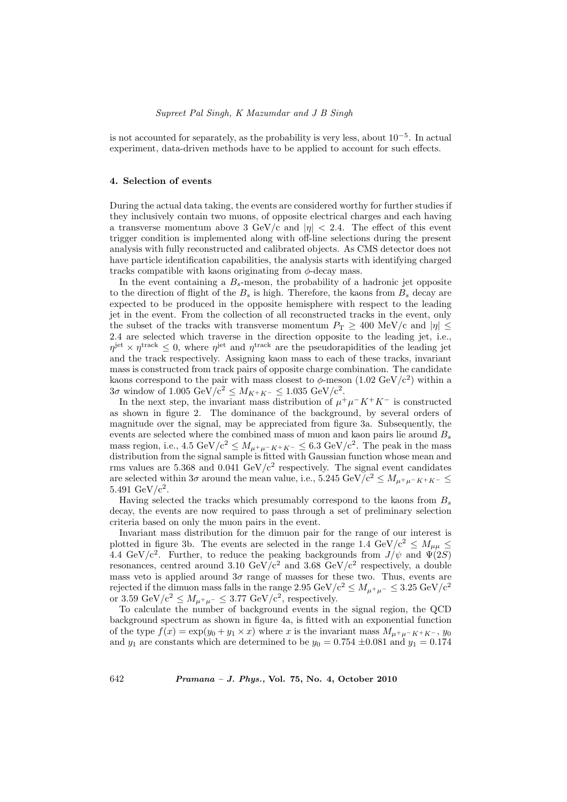## Supreet Pal Singh, K Mazumdar and J B Singh

is not accounted for separately, as the probability is very less, about  $10^{-5}$ . In actual experiment, data-driven methods have to be applied to account for such effects.

## 4. Selection of events

During the actual data taking, the events are considered worthy for further studies if they inclusively contain two muons, of opposite electrical charges and each having a transverse momentum above 3 GeV/c and  $|\eta| < 2.4$ . The effect of this event trigger condition is implemented along with off-line selections during the present analysis with fully reconstructed and calibrated objects. As CMS detector does not have particle identification capabilities, the analysis starts with identifying charged tracks compatible with kaons originating from  $\phi$ -decay mass.

In the event containing a  $B_s$ -meson, the probability of a hadronic jet opposite to the direction of flight of the  $B_s$  is high. Therefore, the kaons from  $B_s$  decay are expected to be produced in the opposite hemisphere with respect to the leading jet in the event. From the collection of all reconstructed tracks in the event, only the subset of the tracks with transverse momentum  $P_T \geq 400$  MeV/c and  $|\eta| \leq$ 2.4 are selected which traverse in the direction opposite to the leading jet, i.e.,  $\eta^{\text{jet}} \times \eta^{\text{track}} \leq 0$ , where  $\eta^{\text{jet}}$  and  $\eta^{\text{track}}$  are the pseudorapidities of the leading jet and the track respectively. Assigning kaon mass to each of these tracks, invariant mass is constructed from track pairs of opposite charge combination. The candidate kaons correspond to the pair with mass closest to  $\phi$ -meson (1.02 GeV/c<sup>2</sup>) within a  $3\sigma$  window of  $1.005 \text{ GeV}/c^2 \leq M_{K^+K^-} \leq 1.035 \text{ GeV}/c^2$ .

In the next step, the invariant mass distribution of  $\mu^+ \mu^- K^+ K^-$  is constructed as shown in figure 2. The dominance of the background, by several orders of magnitude over the signal, may be appreciated from figure 3a. Subsequently, the events are selected where the combined mass of muon and kaon pairs lie around  $B_s$ mass region, i.e., 4.5 GeV/c<sup>2</sup>  $\leq M_{\mu^+\mu^-K^+K^-} \leq 6.3$  GeV/c<sup>2</sup>. The peak in the mass distribution from the signal sample is fitted with Gaussian function whose mean and rms values are 5.368 and 0.041 GeV/ $c<sup>2</sup>$  respectively. The signal event candidates are selected within  $3\sigma$  around the mean value, i.e.,  $5.245 \text{ GeV/c}^2 \leq M_{\mu^+ \mu^- K^+ K^-} \leq$ 5.491  $GeV/c^2$ .

Having selected the tracks which presumably correspond to the kaons from  $B_s$ decay, the events are now required to pass through a set of preliminary selection criteria based on only the muon pairs in the event.

Invariant mass distribution for the dimuon pair for the range of our interest is plotted in figure 3b. The events are selected in the range 1.4 GeV/c<sup>2</sup>  $\leq M_{\mu\mu} \leq$ 4.4 GeV/c<sup>2</sup>. Further, to reduce the peaking backgrounds from  $J/\psi$  and  $\Psi(2S)$ resonances, centred around 3.10 GeV/ $c^2$  and 3.68 GeV/ $c^2$  respectively, a double mass veto is applied around  $3\sigma$  range of masses for these two. Thus, events are rejected if the dimuon mass falls in the range 2.95 GeV/c<sup>2</sup>  $\leq M_{\mu^+\mu^-} \leq 3.25$  GeV/c<sup>2</sup> or 3.59 GeV/ $c^2 \n\t\leq M_{\mu^+\mu^-} \leq 3.77$  GeV/ $c^2$ , respectively.

To calculate the number of background events in the signal region, the QCD background spectrum as shown in figure 4a, is fitted with an exponential function of the type  $f(x) = \exp(y_0 + y_1 \times x)$  where x is the invariant mass  $M_{\mu^+\mu^-}K^+K^-$ , yo and  $y_1$  are constants which are determined to be  $y_0 = 0.754 \pm 0.081$  and  $y_1 = 0.174$ 

642 Pramana – J. Phys., Vol. 75, No. 4, October 2010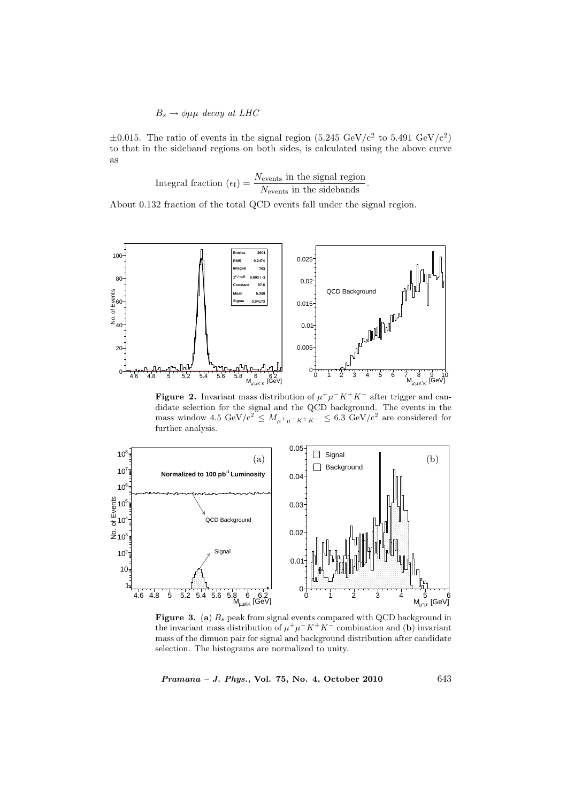$$
B_s \to \phi \mu \mu \ decay \ at \ LHC
$$

 $\pm 0.015$ . The ratio of events in the signal region (5.245 GeV/c<sup>2</sup> to 5.491 GeV/c<sup>2</sup>) to that in the sideband regions on both sides, is calculated using the above curve as

Integral fraction 
$$
(\epsilon_{\rm I}) = \frac{N_{\text{events}}}{N_{\text{events}}}
$$
 in the sidebands.

About 0.132 fraction of the total QCD events fall under the signal region.



**Figure 2.** Invariant mass distribution of  $\mu^+\mu^-K^+K^-$  after trigger and candidate selection for the signal and the QCD background. The events in the mass window  $4.5 \text{ GeV}/c^2 \leq M_{\mu^+\mu^-K^+K^-} \leq 6.3 \text{ GeV}/c^2$  are considered for further analysis.



Figure 3. (a)  $B_s$  peak from signal events compared with QCD background in the invariant mass distribution of  $\mu^+ \mu^- K^+ K^-$  combination and (b) invariant mass of the dimuon pair for signal and background distribution after candidate selection. The histograms are normalized to unity.

Pramana – J. Phys., Vol. 75, No. 4, October 2010 643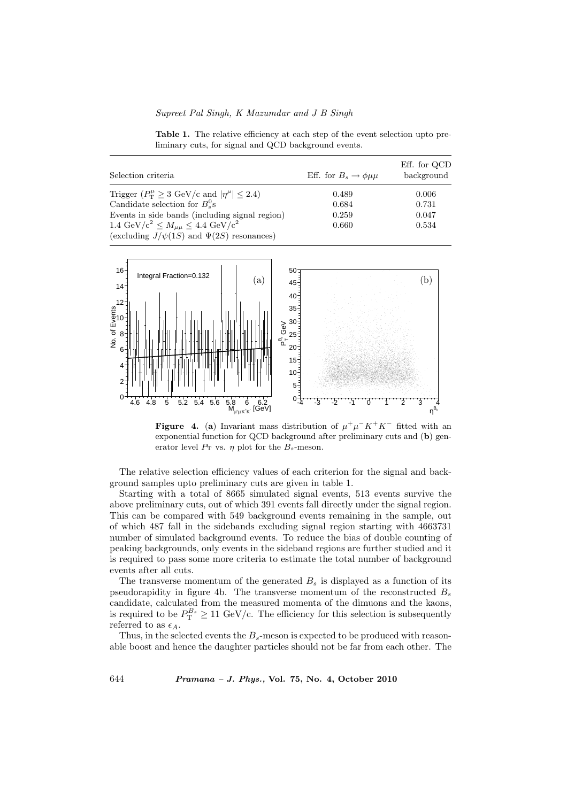## Supreet Pal Singh, K Mazumdar and J B Singh

Table 1. The relative efficiency at each step of the event selection upto preliminary cuts, for signal and QCD background events.

| Selection criteria                                                                                       | Eff. for $B_s \to \phi \mu \mu$ | Eff. for QCD<br>background |
|----------------------------------------------------------------------------------------------------------|---------------------------------|----------------------------|
| Trigger $(P_T^{\mu} \geq 3 \text{ GeV/c} \text{ and }  \eta^{\mu}  \leq 2.4)$                            | 0.489                           | 0.006                      |
| Candidate selection for $B_s^0$ s                                                                        | 0.684                           | 0.731                      |
| Events in side bands (including signal region)                                                           | 0.259                           | 0.047                      |
| 1.4 GeV/ $c^2 \leq M_{\mu\mu} \leq 4.4$ GeV/ $c^2$<br>(excluding $J/\psi(1S)$ and $\Psi(2S)$ resonances) | 0.660                           | 0.534                      |



**Figure 4.** (a) Invariant mass distribution of  $\mu^+ \mu^- K^+ K^-$  fitted with an exponential function for QCD background after preliminary cuts and (b) generator level  $P_T$  vs.  $\eta$  plot for the  $B_s$ -meson.

The relative selection efficiency values of each criterion for the signal and background samples upto preliminary cuts are given in table 1.

Starting with a total of 8665 simulated signal events, 513 events survive the above preliminary cuts, out of which 391 events fall directly under the signal region. This can be compared with 549 background events remaining in the sample, out of which 487 fall in the sidebands excluding signal region starting with 4663731 number of simulated background events. To reduce the bias of double counting of peaking backgrounds, only events in the sideband regions are further studied and it is required to pass some more criteria to estimate the total number of background events after all cuts.

The transverse momentum of the generated  $B_s$  is displayed as a function of its pseudorapidity in figure 4b. The transverse momentum of the reconstructed  $B_s$ candidate, calculated from the measured momenta of the dimuons and the kaons, is required to be  $P_{\text{T}}^{B_s} \geq 11 \text{ GeV/c}$ . The efficiency for this selection is subsequently referred to as  $\epsilon_A$ .

Thus, in the selected events the  $B_s$ -meson is expected to be produced with reasonable boost and hence the daughter particles should not be far from each other. The

644 Pramana – J. Phys., Vol. 75, No. 4, October 2010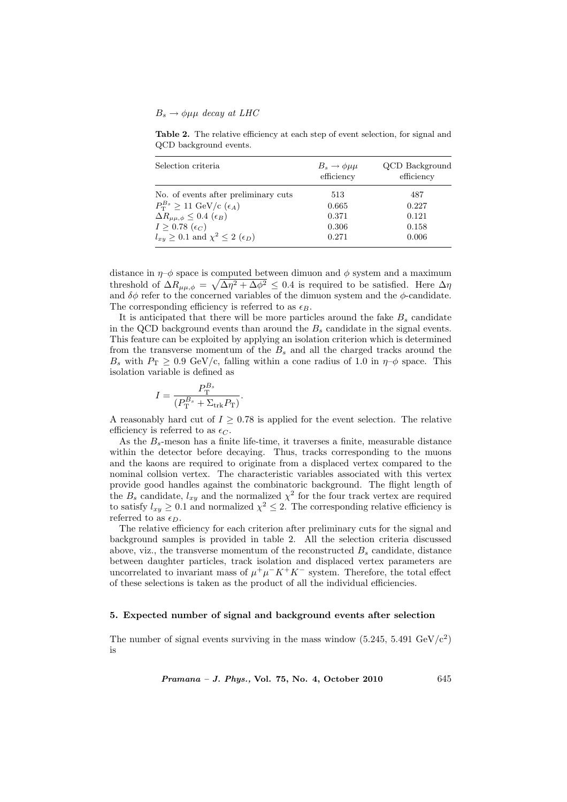#### $B_s \rightarrow \phi \mu \mu$  decay at LHC

Table 2. The relative efficiency at each step of event selection, for signal and QCD background events.

| Selection criteria                                     | $B_s \to \phi \mu \mu$<br>efficiency | QCD Background<br>efficiency |
|--------------------------------------------------------|--------------------------------------|------------------------------|
| No. of events after preliminary cuts                   | 513                                  | 487                          |
| $P_{\rm T}^{B_s} \geq 11 \text{ GeV/c } (\epsilon_A)$  | 0.665                                | 0.227                        |
| $\Delta R_{\mu\mu,\phi} \leq 0.4$ ( $\epsilon_B$ )     | 0.371                                | 0.121                        |
| $I \geq 0.78~(\epsilon_C)$                             | 0.306                                | 0.158                        |
| $l_{xy} \geq 0.1$ and $\chi^2 \leq 2$ ( $\epsilon_D$ ) | 0.271                                | 0.006                        |

distance in  $\eta$ – $\phi$  space is computed between dimuon and  $\phi$  system and a maximum threshold of  $\Delta R_{\mu\mu,\phi} = \sqrt{\Delta \eta^2 + \Delta \phi^2} \leq 0.4$  is required to be satisfied. Here  $\Delta \eta$ and  $\delta\phi$  refer to the concerned variables of the dimuon system and the  $\phi$ -candidate. The corresponding efficiency is referred to as  $\epsilon_B$ .

It is anticipated that there will be more particles around the fake  $B_s$  candidate in the QCD background events than around the  $B_s$  candidate in the signal events. This feature can be exploited by applying an isolation criterion which is determined from the transverse momentum of the  $B<sub>s</sub>$  and all the charged tracks around the  $B_s$  with  $P_T \geq 0.9$  GeV/c, falling within a cone radius of 1.0 in  $\eta$ - $\phi$  space. This isolation variable is defined as

$$
I = \frac{P_{\rm T}^{B_s}}{(P_{\rm T}^{B_s} + \Sigma_{\rm trk} P_{\rm T})}.
$$

A reasonably hard cut of  $I \geq 0.78$  is applied for the event selection. The relative efficiency is referred to as  $\epsilon_C$ .

As the  $B_s$ -meson has a finite life-time, it traverses a finite, measurable distance within the detector before decaying. Thus, tracks corresponding to the muons and the kaons are required to originate from a displaced vertex compared to the nominal collsion vertex. The characteristic variables associated with this vertex provide good handles against the combinatoric background. The flight length of the  $B_s$  candidate,  $l_{xy}$  and the normalized  $\chi^2$  for the four track vertex are required to satisfy  $l_{xy} \geq 0.1$  and normalized  $\chi^2 \leq 2$ . The corresponding relative efficiency is referred to as  $\epsilon_D$ .

The relative efficiency for each criterion after preliminary cuts for the signal and background samples is provided in table 2. All the selection criteria discussed above, viz., the transverse momentum of the reconstructed  $B_s$  candidate, distance between daughter particles, track isolation and displaced vertex parameters are uncorrelated to invariant mass of  $\mu^+\mu^-K^+K^-$  system. Therefore, the total effect of these selections is taken as the product of all the individual efficiencies.

#### 5. Expected number of signal and background events after selection

The number of signal events surviving in the mass window  $(5.245, 5.491 \text{ GeV/c}^2)$ is

 $Pramana - J. Phys., Vol. 75, No. 4, October 2010$  645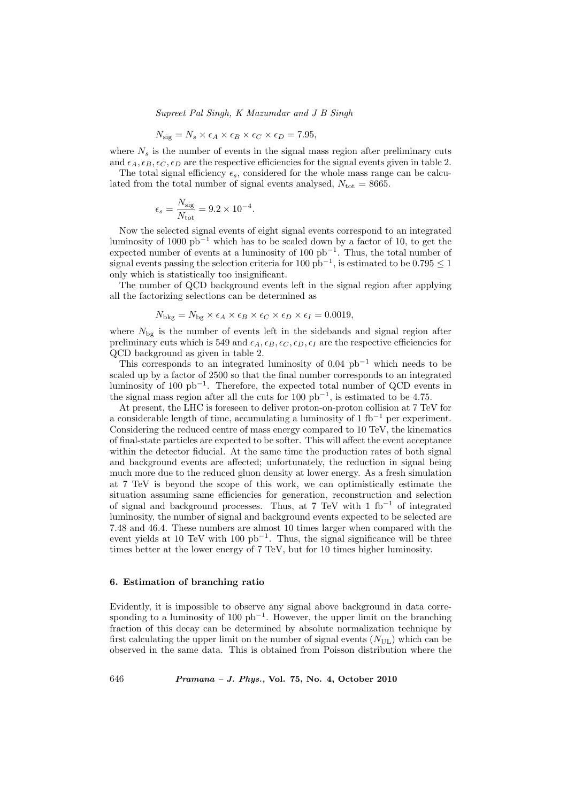Supreet Pal Singh, K Mazumdar and J B Singh

$$
N_{\text{sig}} = N_s \times \epsilon_A \times \epsilon_B \times \epsilon_C \times \epsilon_D = 7.95,
$$

where  $N_s$  is the number of events in the signal mass region after preliminary cuts and  $\epsilon_A, \epsilon_B, \epsilon_C, \epsilon_D$  are the respective efficiencies for the signal events given in table 2.

The total signal efficiency  $\epsilon_s$ , considered for the whole mass range can be calculated from the total number of signal events analysed,  $N_{\text{tot}} = 8665$ .

$$
\epsilon_s = \frac{N_{\text{sig}}}{N_{\text{tot}}} = 9.2 \times 10^{-4}.
$$

Now the selected signal events of eight signal events correspond to an integrated luminosity of 1000  $pb<sup>-1</sup>$  which has to be scaled down by a factor of 10, to get the expected number of events at a luminosity of 100  $pb^{-1}$ . Thus, the total number of signal events passing the selection criteria for 100 pb<sup>-1</sup>, is estimated to be 0.795  $\leq$  1 only which is statistically too insignificant.

The number of QCD background events left in the signal region after applying all the factorizing selections can be determined as

$$
N_{\text{bkg}} = N_{\text{bg}} \times \epsilon_A \times \epsilon_B \times \epsilon_C \times \epsilon_D \times \epsilon_I = 0.0019,
$$

where  $N_{\text{bg}}$  is the number of events left in the sidebands and signal region after preliminary cuts which is 549 and  $\epsilon_A, \epsilon_B, \epsilon_C, \epsilon_D, \epsilon_I$  are the respective efficiencies for QCD background as given in table 2.

This corresponds to an integrated luminosity of  $0.04$  pb<sup>-1</sup> which needs to be scaled up by a factor of 2500 so that the final number corresponds to an integrated luminosity of 100  $pb^{-1}$ . Therefore, the expected total number of QCD events in the signal mass region after all the cuts for  $100 \text{ pb}^{-1}$ , is estimated to be 4.75.

At present, the LHC is foreseen to deliver proton-on-proton collision at 7 TeV for a considerable length of time, accumulating a luminosity of 1 fb<sup>−</sup><sup>1</sup> per experiment. Considering the reduced centre of mass energy compared to 10 TeV, the kinematics of final-state particles are expected to be softer. This will affect the event acceptance within the detector fiducial. At the same time the production rates of both signal and background events are affected; unfortunately, the reduction in signal being much more due to the reduced gluon density at lower energy. As a fresh simulation at 7 TeV is beyond the scope of this work, we can optimistically estimate the situation assuming same efficiencies for generation, reconstruction and selection of signal and background processes. Thus, at 7 TeV with 1 fb<sup>-1</sup> of integrated luminosity, the number of signal and background events expected to be selected are 7.48 and 46.4. These numbers are almost 10 times larger when compared with the event yields at 10 TeV with 100  $pb^{-1}$ . Thus, the signal significance will be three times better at the lower energy of 7 TeV, but for 10 times higher luminosity.

#### 6. Estimation of branching ratio

Evidently, it is impossible to observe any signal above background in data corresponding to a luminosity of 100  $pb^{-1}$ . However, the upper limit on the branching fraction of this decay can be determined by absolute normalization technique by first calculating the upper limit on the number of signal events  $(N_{UL})$  which can be observed in the same data. This is obtained from Poisson distribution where the

646 Pramana – J. Phys., Vol. 75, No. 4, October 2010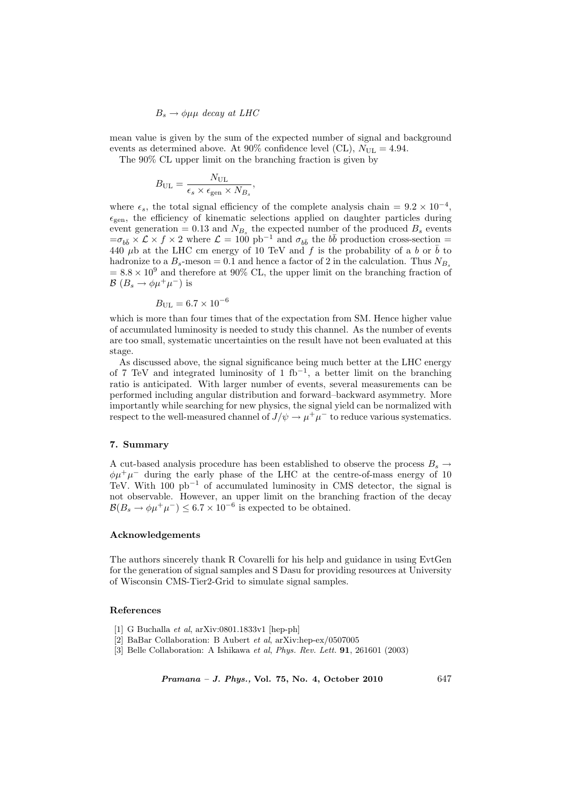$B_s \rightarrow \phi \mu \mu$  decay at LHC

mean value is given by the sum of the expected number of signal and background events as determined above. At 90% confidence level (CL),  $N_{\text{UL}} = 4.94$ .

The 90% CL upper limit on the branching fraction is given by

$$
B_{\rm UL} = \frac{N_{\rm UL}}{\epsilon_s \times \epsilon_{\rm gen} \times N_{B_s}},
$$

where  $\epsilon_s$ , the total signal efficiency of the complete analysis chain =  $9.2 \times 10^{-4}$ ,  $\epsilon_{gen}$ , the efficiency of kinematic selections applied on daughter particles during event generation = 0.13 and  $N_{B_s}$  the expected number of the produced  $B_s$  events  $=\sigma_{b\bar{b}} \times \mathcal{L} \times f \times 2$  where  $\mathcal{L} = 100$  pb<sup>-1</sup> and  $\sigma_{b\bar{b}}$  the  $b\bar{b}$  production cross-section = 440  $\mu$ b at the LHC cm energy of 10 TeV and f is the probability of a b or  $\bar{b}$  to hadronize to a  $B_s$ -meson = 0.1 and hence a factor of 2 in the calculation. Thus  $N_{B_s}$  $= 8.8 \times 10^9$  and therefore at 90% CL, the upper limit on the branching fraction of  $\mathcal{B}(B_s \to \phi \mu^+ \mu^-)$  is

$$
B_{\rm UL}=6.7\times 10^{-6}
$$

which is more than four times that of the expectation from SM. Hence higher value of accumulated luminosity is needed to study this channel. As the number of events are too small, systematic uncertainties on the result have not been evaluated at this stage.

As discussed above, the signal significance being much better at the LHC energy of 7 TeV and integrated luminosity of 1 fb<sup>-1</sup>, a better limit on the branching ratio is anticipated. With larger number of events, several measurements can be performed including angular distribution and forward–backward asymmetry. More importantly while searching for new physics, the signal yield can be normalized with respect to the well-measured channel of  $J/\psi \to \mu^+\mu^-$  to reduce various systematics.

## 7. Summary

A cut-based analysis procedure has been established to observe the process  $B_s \rightarrow$  $\phi\mu^+\mu^-$  during the early phase of the LHC at the centre-of-mass energy of 10 TeV. With  $100 \text{ pb}^{-1}$  of accumulated luminosity in CMS detector, the signal is not observable. However, an upper limit on the branching fraction of the decay  $\mathcal{B}(B_s \to \phi \mu^+ \mu^-) \leq 6.7 \times 10^{-6}$  is expected to be obtained.

# Acknowledgements

The authors sincerely thank R Covarelli for his help and guidance in using EvtGen for the generation of signal samples and S Dasu for providing resources at University of Wisconsin CMS-Tier2-Grid to simulate signal samples.

## References

- [1] G Buchalla et al, arXiv:0801.1833v1 [hep-ph]
- [2] BaBar Collaboration: B Aubert et al, arXiv:hep-ex/0507005
- [3] Belle Collaboration: A Ishikawa et al, Phys. Rev. Lett. 91, 261601 (2003)

 $Pramana - J. Phys., Vol. 75, No. 4, October 2010$  647